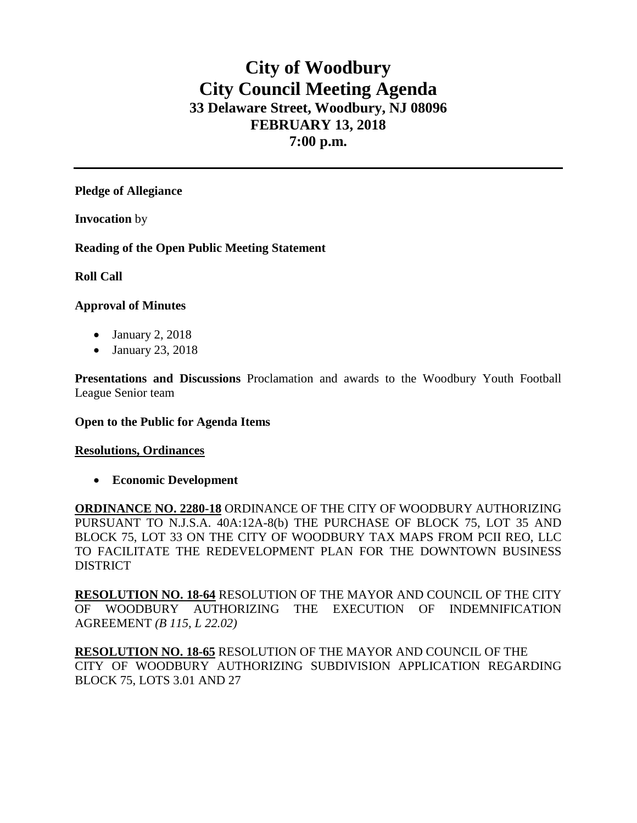# **City of Woodbury City Council Meeting Agenda 33 Delaware Street, Woodbury, NJ 08096 FEBRUARY 13, 2018 7:00 p.m.**

### **Pledge of Allegiance**

**Invocation** by

**Reading of the Open Public Meeting Statement**

### **Roll Call**

### **Approval of Minutes**

- January 2, 2018
- January 23, 2018

**Presentations and Discussions** Proclamation and awards to the Woodbury Youth Football League Senior team

#### **Open to the Public for Agenda Items**

#### **Resolutions, Ordinances**

• **Economic Development**

**ORDINANCE NO. 2280-18** ORDINANCE OF THE CITY OF WOODBURY AUTHORIZING PURSUANT TO N.J.S.A. 40A:12A-8(b) THE PURCHASE OF BLOCK 75, LOT 35 AND BLOCK 75, LOT 33 ON THE CITY OF WOODBURY TAX MAPS FROM PCII REO, LLC TO FACILITATE THE REDEVELOPMENT PLAN FOR THE DOWNTOWN BUSINESS **DISTRICT** 

**RESOLUTION NO. 18-64** RESOLUTION OF THE MAYOR AND COUNCIL OF THE CITY OF WOODBURY AUTHORIZING THE EXECUTION OF INDEMNIFICATION AGREEMENT *(B 115, L 22.02)*

**RESOLUTION NO. 18-65** RESOLUTION OF THE MAYOR AND COUNCIL OF THE CITY OF WOODBURY AUTHORIZING SUBDIVISION APPLICATION REGARDING BLOCK 75, LOTS 3.01 AND 27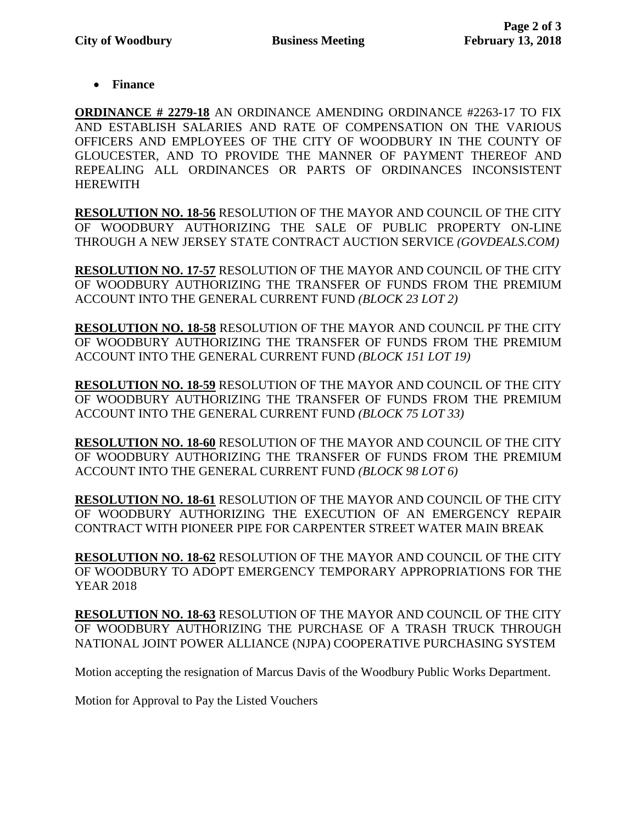• **Finance** 

**ORDINANCE # 2279-18** AN ORDINANCE AMENDING ORDINANCE #2263-17 TO FIX AND ESTABLISH SALARIES AND RATE OF COMPENSATION ON THE VARIOUS OFFICERS AND EMPLOYEES OF THE CITY OF WOODBURY IN THE COUNTY OF GLOUCESTER, AND TO PROVIDE THE MANNER OF PAYMENT THEREOF AND REPEALING ALL ORDINANCES OR PARTS OF ORDINANCES INCONSISTENT HEREWITH

**RESOLUTION NO. 18-56** RESOLUTION OF THE MAYOR AND COUNCIL OF THE CITY OF WOODBURY AUTHORIZING THE SALE OF PUBLIC PROPERTY ON-LINE THROUGH A NEW JERSEY STATE CONTRACT AUCTION SERVICE *(GOVDEALS.COM)*

**RESOLUTION NO. 17-57** RESOLUTION OF THE MAYOR AND COUNCIL OF THE CITY OF WOODBURY AUTHORIZING THE TRANSFER OF FUNDS FROM THE PREMIUM ACCOUNT INTO THE GENERAL CURRENT FUND *(BLOCK 23 LOT 2)*

**RESOLUTION NO. 18-58** RESOLUTION OF THE MAYOR AND COUNCIL PF THE CITY OF WOODBURY AUTHORIZING THE TRANSFER OF FUNDS FROM THE PREMIUM ACCOUNT INTO THE GENERAL CURRENT FUND *(BLOCK 151 LOT 19)*

**RESOLUTION NO. 18-59** RESOLUTION OF THE MAYOR AND COUNCIL OF THE CITY OF WOODBURY AUTHORIZING THE TRANSFER OF FUNDS FROM THE PREMIUM ACCOUNT INTO THE GENERAL CURRENT FUND *(BLOCK 75 LOT 33)*

**RESOLUTION NO. 18-60** RESOLUTION OF THE MAYOR AND COUNCIL OF THE CITY OF WOODBURY AUTHORIZING THE TRANSFER OF FUNDS FROM THE PREMIUM ACCOUNT INTO THE GENERAL CURRENT FUND *(BLOCK 98 LOT 6)*

**RESOLUTION NO. 18-61** RESOLUTION OF THE MAYOR AND COUNCIL OF THE CITY OF WOODBURY AUTHORIZING THE EXECUTION OF AN EMERGENCY REPAIR CONTRACT WITH PIONEER PIPE FOR CARPENTER STREET WATER MAIN BREAK

**RESOLUTION NO. 18-62** RESOLUTION OF THE MAYOR AND COUNCIL OF THE CITY OF WOODBURY TO ADOPT EMERGENCY TEMPORARY APPROPRIATIONS FOR THE YEAR 2018

**RESOLUTION NO. 18-63** RESOLUTION OF THE MAYOR AND COUNCIL OF THE CITY OF WOODBURY AUTHORIZING THE PURCHASE OF A TRASH TRUCK THROUGH NATIONAL JOINT POWER ALLIANCE (NJPA) COOPERATIVE PURCHASING SYSTEM

Motion accepting the resignation of Marcus Davis of the Woodbury Public Works Department.

Motion for Approval to Pay the Listed Vouchers